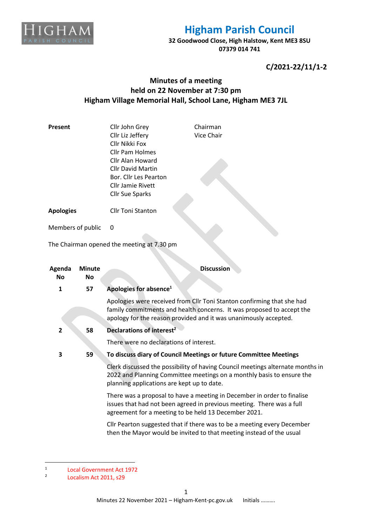

## **Higham Parish Council**

**32 Goodwood Close, High Halstow, Kent ME3 8SU 07379 014 741**

**C/2021-22/11/1-2**

### **Minutes of a meeting held on 22 November at 7:30 pm Higham Village Memorial Hall, School Lane, Higham ME3 7JL**

| Present             |                     | Cllr John Grey<br>Cllr Liz Jeffery<br>Cllr Nikki Fox<br><b>Cllr Pam Holmes</b><br>Cllr Alan Howard<br><b>Cllr David Martin</b><br>Bor. Cllr Les Pearton<br><b>Cllr Jamie Rivett</b><br><b>Cllr Sue Sparks</b> | Chairman<br>Vice Chair                                                                                                                                                                                              |
|---------------------|---------------------|---------------------------------------------------------------------------------------------------------------------------------------------------------------------------------------------------------------|---------------------------------------------------------------------------------------------------------------------------------------------------------------------------------------------------------------------|
| <b>Apologies</b>    |                     | <b>Cllr Toni Stanton</b>                                                                                                                                                                                      |                                                                                                                                                                                                                     |
| Members of public   |                     | 0                                                                                                                                                                                                             |                                                                                                                                                                                                                     |
|                     |                     | The Chairman opened the meeting at 7.30 pm                                                                                                                                                                    |                                                                                                                                                                                                                     |
| Agenda<br><b>No</b> | <b>Minute</b><br>Νo |                                                                                                                                                                                                               | <b>Discussion</b>                                                                                                                                                                                                   |
| 1                   | 57                  | Apologies for absence <sup>1</sup>                                                                                                                                                                            |                                                                                                                                                                                                                     |
|                     |                     |                                                                                                                                                                                                               | Apologies were received from Cllr Toni Stanton confirming that she had<br>family commitments and health concerns. It was proposed to accept the<br>apology for the reason provided and it was unanimously accepted. |
| $\mathbf{2}$        | 58                  | Declarations of interest <sup>2</sup><br>There were no declarations of interest.                                                                                                                              |                                                                                                                                                                                                                     |
|                     |                     |                                                                                                                                                                                                               |                                                                                                                                                                                                                     |
| 3                   | 59                  | To discuss diary of Council Meetings or future Committee Meetings                                                                                                                                             |                                                                                                                                                                                                                     |
|                     |                     | Clerk discussed the possibility of having Council meetings alternate months in<br>2022 and Planning Committee meetings on a monthly basis to ensure the<br>planning applications are kept up to date.         |                                                                                                                                                                                                                     |
|                     |                     | agreement for a meeting to be held 13 December 2021.                                                                                                                                                          | There was a proposal to have a meeting in December in order to finalise<br>issues that had not been agreed in previous meeting. There was a full                                                                    |
|                     |                     |                                                                                                                                                                                                               | Cllr Pearton suggested that if there was to be a meeting every December<br>then the Mayor would be invited to that meeting instead of the usual                                                                     |

<sup>1</sup> Local Government Act 1972

<sup>2</sup> Localism Act 2011, s29